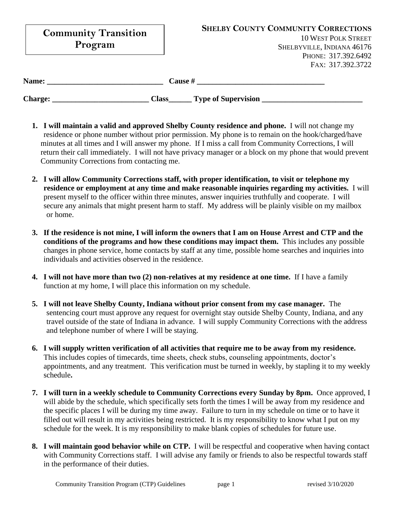| <b>Community Transition</b><br>Program |                                                | <b>SHELBY COUNTY COMMUNITY CORRECTIONS</b><br><b>10 WEST POLK STREET</b><br>SHELBYVILLE, INDIANA 46176<br>PHONE: 317.392.6492 |
|----------------------------------------|------------------------------------------------|-------------------------------------------------------------------------------------------------------------------------------|
| Name:<br><b>Charge:</b>                | Cause #<br><b>Type of Supervision</b><br>Class | FAX: 317.392.3722                                                                                                             |

- **1. I will maintain a valid and approved Shelby County residence and phone.** I will not change my residence or phone number without prior permission. My phone is to remain on the hook/charged/have minutes at all times and I will answer my phone. If I miss a call from Community Corrections, I will return their call immediately. I will not have privacy manager or a block on my phone that would prevent Community Corrections from contacting me.
- **2. I will allow Community Corrections staff, with proper identification, to visit or telephone my residence or employment at any time and make reasonable inquiries regarding my activities.** I will present myself to the officer within three minutes, answer inquiries truthfully and cooperate. I will secure any animals that might present harm to staff. My address will be plainly visible on my mailbox or home.
- **3. If the residence is not mine, I will inform the owners that I am on House Arrest and CTP and the conditions of the programs and how these conditions may impact them.** This includes any possible changes in phone service, home contacts by staff at any time, possible home searches and inquiries into individuals and activities observed in the residence.
- **4. I will not have more than two (2) non-relatives at my residence at one time.** If I have a family function at my home, I will place this information on my schedule.
- **5. I will not leave Shelby County, Indiana without prior consent from my case manager.** The sentencing court must approve any request for overnight stay outside Shelby County, Indiana, and any travel outside of the state of Indiana in advance. I will supply Community Corrections with the address and telephone number of where I will be staying.
- **6. I will supply written verification of all activities that require me to be away from my residence.** This includes copies of timecards, time sheets, check stubs, counseling appointments, doctor's appointments, and any treatment. This verification must be turned in weekly, by stapling it to my weekly schedule**.**
- **7. I will turn in a weekly schedule to Community Corrections every Sunday by 8pm.** Once approved, I will abide by the schedule, which specifically sets forth the times I will be away from my residence and the specific places I will be during my time away. Failure to turn in my schedule on time or to have it filled out will result in my activities being restricted. It is my responsibility to know what I put on my schedule for the week. It is my responsibility to make blank copies of schedules for future use.
- **8. I will maintain good behavior while on CTP.** I will be respectful and cooperative when having contact with Community Corrections staff. I will advise any family or friends to also be respectful towards staff in the performance of their duties.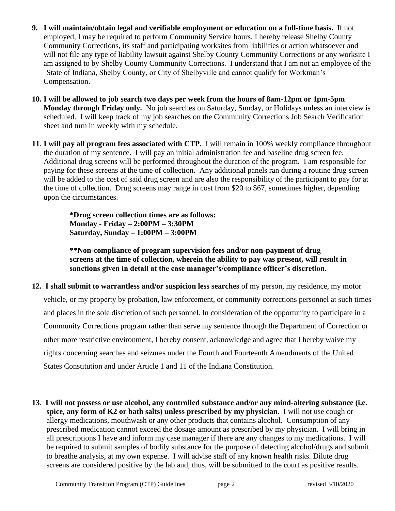- **9. I will maintain/obtain legal and verifiable employment or education on a full-time basis.** If not employed, I may be required to perform Community Service hours. I hereby release Shelby County Community Corrections, its staff and participating worksites from liabilities or action whatsoever and will not file any type of liability lawsuit against Shelby County Community Corrections or any worksite I am assigned to by Shelby County Community Corrections. I understand that I am not an employee of the State of Indiana, Shelby County, or City of Shelbyville and cannot qualify for Workman's Compensation.
- **10. I will be allowed to job search two days per week from the hours of 8am-12pm or 1pm-5pm Monday through Friday only.** No job searches on Saturday, Sunday, or Holidays unless an interview is scheduled. I will keep track of my job searches on the Community Corrections Job Search Verification sheet and turn in weekly with my schedule.
- **11**. **I will pay all program fees associated with CTP.** I will remain in 100% weekly compliance throughout the duration of my sentence. I will pay an initial administration fee and baseline drug screen fee. Additional drug screens will be performed throughout the duration of the program. I am responsible for paying for these screens at the time of collection. Any additional panels ran during a routine drug screen will be added to the cost of said drug screen and are also the responsibility of the participant to pay for at the time of collection. Drug screens may range in cost from \$20 to \$67, sometimes higher, depending upon the circumstances.

**\*Drug screen collection times are as follows: Monday - Friday – 2:00PM – 3:30PM Saturday, Sunday – 1:00PM – 3:00PM**

**\*\*Non-compliance of program supervision fees and/or non-payment of drug screens at the time of collection, wherein the ability to pay was present, will result in sanctions given in detail at the case manager's/compliance officer's discretion.**

- **12. I shall submit to warrantless and/or suspicion less searches** of my person, my residence, my motor vehicle, or my property by probation, law enforcement, or community corrections personnel at such times and places in the sole discretion of such personnel. In consideration of the opportunity to participate in a Community Corrections program rather than serve my sentence through the Department of Correction or other more restrictive environment, I hereby consent, acknowledge and agree that I hereby waive my rights concerning searches and seizures under the Fourth and Fourteenth Amendments of the United States Constitution and under Article 1 and 11 of the Indiana Constitution.
- **13**. **I will not possess or use alcohol, any controlled substance and/or any mind-altering substance (i.e. spice, any form of K2 or bath salts) unless prescribed by my physician.** I will not use cough or allergy medications, mouthwash or any other products that contains alcohol. Consumption of any prescribed medication cannot exceed the dosage amount as prescribed by my physician. I will bring in all prescriptions I have and inform my case manager if there are any changes to my medications. I will be required to submit samples of bodily substance for the purpose of detecting alcohol/drugs and submit to breathe analysis, at my own expense. I will advise staff of any known health risks. Dilute drug screens are considered positive by the lab and, thus, will be submitted to the court as positive results.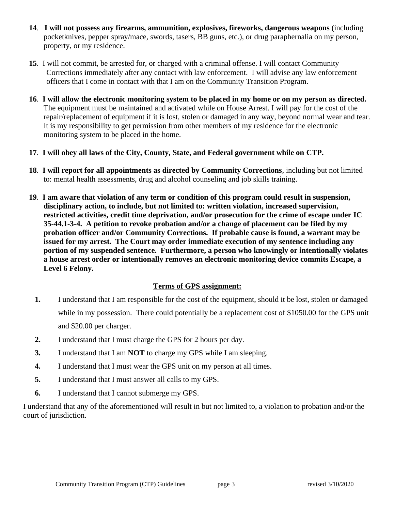- **14**. **I will not possess any firearms, ammunition, explosives, fireworks, dangerous weapons** (including pocketknives, pepper spray/mace, swords, tasers, BB guns, etc.), or drug paraphernalia on my person, property, or my residence.
- **15**. I will not commit, be arrested for, or charged with a criminal offense. I will contact Community Corrections immediately after any contact with law enforcement. I will advise any law enforcement officers that I come in contact with that I am on the Community Transition Program.
- **16**. **I will allow the electronic monitoring system to be placed in my home or on my person as directed.** The equipment must be maintained and activated while on House Arrest. I will pay for the cost of the repair/replacement of equipment if it is lost, stolen or damaged in any way, beyond normal wear and tear. It is my responsibility to get permission from other members of my residence for the electronic monitoring system to be placed in the home.
- **17**. **I will obey all laws of the City, County, State, and Federal government while on CTP.**
- **18**. **I will report for all appointments as directed by Community Corrections**, including but not limited to: mental health assessments, drug and alcohol counseling and job skills training.
- **19**. **I am aware that violation of any term or condition of this program could result in suspension, disciplinary action, to include, but not limited to: written violation, increased supervision, restricted activities, credit time deprivation, and/or prosecution for the crime of escape under IC 35-44.1-3-4. A petition to revoke probation and/or a change of placement can be filed by my probation officer and/or Community Corrections. If probable cause is found, a warrant may be issued for my arrest. The Court may order immediate execution of my sentence including any portion of my suspended sentence. Furthermore, a person who knowingly or intentionally violates a house arrest order or intentionally removes an electronic monitoring device commits Escape, a Level 6 Felony.**

## **Terms of GPS assignment:**

- **1.** I understand that I am responsible for the cost of the equipment, should it be lost, stolen or damaged while in my possession. There could potentially be a replacement cost of \$1050.00 for the GPS unit and \$20.00 per charger.
- **2.** I understand that I must charge the GPS for 2 hours per day.
- **3.** I understand that I am **NOT** to charge my GPS while I am sleeping.
- **4.** I understand that I must wear the GPS unit on my person at all times.
- **5.** I understand that I must answer all calls to my GPS.
- **6.** I understand that I cannot submerge my GPS.

I understand that any of the aforementioned will result in but not limited to, a violation to probation and/or the court of jurisdiction.